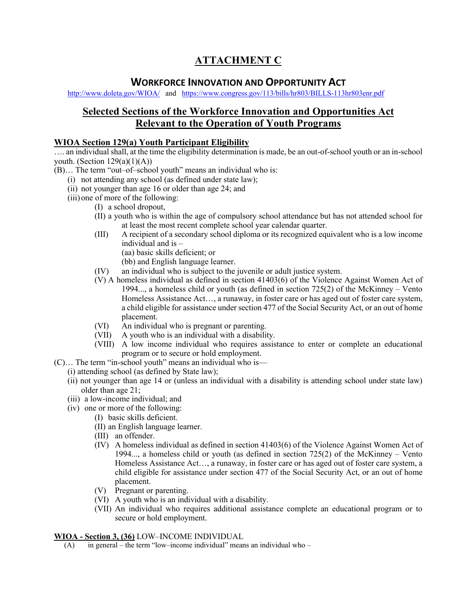# **ATTACHMENT C**

## **WORKFORCE INNOVATION AND OPPORTUNITY ACT**

http://www.doleta.gov/WIOA/ and https://www.congress.gov/113/bills/hr803/BILLS-113hr803enr.pdf

## **Selected Sections of the Workforce Innovation and Opportunities Act Relevant to the Operation of Youth Programs**

### **WIOA Section 129(a) Youth Participant Eligibility**

.... an individual shall, at the time the eligibility determination is made, be an out-of-school youth or an in-school youth. (Section  $129(a)(1)(A)$ )

- (B)… The term "out–of–school youth" means an individual who is:
	- (i) not attending any school (as defined under state law);
	- (ii) not younger than age 16 or older than age 24; and
	- (iii) one of more of the following:
		- (I) a school dropout,
		- (II) a youth who is within the age of compulsory school attendance but has not attended school for at least the most recent complete school year calendar quarter.
		- (III) A recipient of a secondary school diploma or its recognized equivalent who is a low income individual and is –
			- (aa) basic skills deficient; or
			- (bb) and English language learner.
		- (IV) an individual who is subject to the juvenile or adult justice system.
		- (V) A homeless individual as defined in section 41403(6) of the Violence Against Women Act of 1994..., a homeless child or youth (as defined in section 725(2) of the McKinney – Vento Homeless Assistance Act…, a runaway, in foster care or has aged out of foster care system, a child eligible for assistance under section 477 of the Social Security Act, or an out of home placement.
		- (VI) An individual who is pregnant or parenting.
		- (VII) A youth who is an individual with a disability.
		- (VIII) A low income individual who requires assistance to enter or complete an educational program or to secure or hold employment.
- (C)… The term "in-school youth" means an individual who is—
	- (i) attending school (as defined by State law);
	- (ii) not younger than age 14 or (unless an individual with a disability is attending school under state law) older than age 21;
	- (iii) a low-income individual; and
	- (iv) one or more of the following:
		- (I) basic skills deficient.
		- (II) an English language learner.
		- (III) an offender.
		- (IV) A homeless individual as defined in section 41403(6) of the Violence Against Women Act of 1994..., a homeless child or youth (as defined in section 725(2) of the McKinney – Vento Homeless Assistance Act…, a runaway, in foster care or has aged out of foster care system, a child eligible for assistance under section 477 of the Social Security Act, or an out of home placement.
		- (V) Pregnant or parenting.
		- (VI) A youth who is an individual with a disability.
		- (VII) An individual who requires additional assistance complete an educational program or to secure or hold employment.

#### **WIOA - Section 3, (36)** LOW–INCOME INDIVIDUAL

 $(A)$  in general – the term "low–income individual" means an individual who –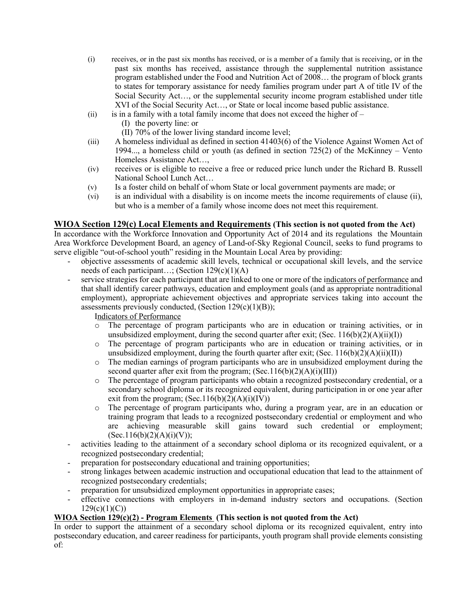- (i) receives, or in the past six months has received, or is a member of a family that is receiving, or in the past six months has received, assistance through the supplemental nutrition assistance program established under the Food and Nutrition Act of 2008… the program of block grants to states for temporary assistance for needy families program under part A of title IV of the Social Security Act…, or the supplemental security income program established under title XVI of the Social Security Act…, or State or local income based public assistance.
- (ii) is in a family with a total family income that does not exceed the higher of  $-$ 
	- (I) the poverty line: or
	- (II) 70% of the lower living standard income level;
- (iii) A homeless individual as defined in section 41403(6) of the Violence Against Women Act of 1994..., a homeless child or youth (as defined in section 725(2) of the McKinney – Vento Homeless Assistance Act…,
- (iv) receives or is eligible to receive a free or reduced price lunch under the Richard B. Russell National School Lunch Act…
- (v) Is a foster child on behalf of whom State or local government payments are made; or
- (vi) is an individual with a disability is on income meets the income requirements of clause (ii), but who is a member of a family whose income does not meet this requirement.

#### **WIOA Section 129(c) Local Elements and Requirements (This section is not quoted from the Act)**

In accordance with the Workforce Innovation and Opportunity Act of 2014 and its regulations the Mountain Area Workforce Development Board, an agency of Land-of-Sky Regional Council, seeks to fund programs to serve eligible "out-of-school youth" residing in the Mountain Local Area by providing:

- objective assessments of academic skill levels, technical or occupational skill levels, and the service needs of each participant...; (Section  $129(c)(1)(A)$ )
- service strategies for each participant that are linked to one or more of the indicators of performance and that shall identify career pathways, education and employment goals (and as appropriate nontraditional employment), appropriate achievement objectives and appropriate services taking into account the assessments previously conducted, (Section  $129(c)(1)(B)$ );

Indicators of Performance

- o The percentage of program participants who are in education or training activities, or in unsubsidized employment, during the second quarter after exit; (Sec.  $116(b)(2)(A)(ii)(I)$ )
- o The percentage of program participants who are in education or training activities, or in unsubsidized employment, during the fourth quarter after exit; (Sec.  $116(b)(2)(A)(ii)(II)$ )
- o The median earnings of program participants who are in unsubsidized employment during the second quarter after exit from the program;  $(Sec.116(b)(2)(A)(i)(III))$
- o The percentage of program participants who obtain a recognized postsecondary credential, or a secondary school diploma or its recognized equivalent, during participation in or one year after exit from the program;  $(Sec.116(b)(2)(A)(i)(IV))$
- o The percentage of program participants who, during a program year, are in an education or training program that leads to a recognized postsecondary credential or employment and who are achieving measurable skill gains toward such credential or employment;  $(Sec.116(b)(2)(A)(i)(V));$
- activities leading to the attainment of a secondary school diploma or its recognized equivalent, or a recognized postsecondary credential;
- preparation for postsecondary educational and training opportunities;
- strong linkages between academic instruction and occupational education that lead to the attainment of recognized postsecondary credentials;
- preparation for unsubsidized employment opportunities in appropriate cases;
- effective connections with employers in in-demand industry sectors and occupations. (Section  $129(c)(1)(C))$

#### **WIOA Section 129(c)(2) - Program Elements (This section is not quoted from the Act)**

In order to support the attainment of a secondary school diploma or its recognized equivalent, entry into postsecondary education, and career readiness for participants, youth program shall provide elements consisting of: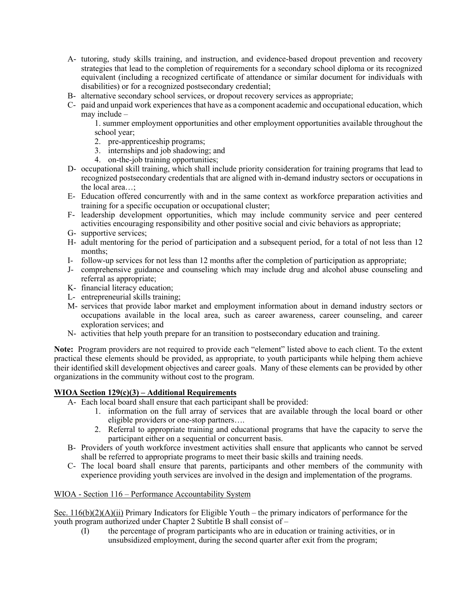- A- tutoring, study skills training, and instruction, and evidence-based dropout prevention and recovery strategies that lead to the completion of requirements for a secondary school diploma or its recognized equivalent (including a recognized certificate of attendance or similar document for individuals with disabilities) or for a recognized postsecondary credential;
- B- alternative secondary school services, or dropout recovery services as appropriate;
- C- paid and unpaid work experiences that have as a component academic and occupational education, which may include –

1. summer employment opportunities and other employment opportunities available throughout the school year;

- 2. pre-apprenticeship programs;
- 3. internships and job shadowing; and
- 4. on-the-job training opportunities;
- D- occupational skill training, which shall include priority consideration for training programs that lead to recognized postsecondary credentials that are aligned with in-demand industry sectors or occupations in the local area…;
- E- Education offered concurrently with and in the same context as workforce preparation activities and training for a specific occupation or occupational cluster;
- F- leadership development opportunities, which may include community service and peer centered activities encouraging responsibility and other positive social and civic behaviors as appropriate;
- G- supportive services;
- H- adult mentoring for the period of participation and a subsequent period, for a total of not less than 12 months;
- I- follow-up services for not less than 12 months after the completion of participation as appropriate;
- J- comprehensive guidance and counseling which may include drug and alcohol abuse counseling and referral as appropriate;
- K- financial literacy education;
- L- entrepreneurial skills training;
- M- services that provide labor market and employment information about in demand industry sectors or occupations available in the local area, such as career awareness, career counseling, and career exploration services; and
- N- activities that help youth prepare for an transition to postsecondary education and training.

**Note:** Program providers are not required to provide each "element" listed above to each client. To the extent practical these elements should be provided, as appropriate, to youth participants while helping them achieve their identified skill development objectives and career goals. Many of these elements can be provided by other organizations in the community without cost to the program.

### **WIOA Section 129(c)(3) – Additional Requirements**

- A- Each local board shall ensure that each participant shall be provided:
	- 1. information on the full array of services that are available through the local board or other eligible providers or one-stop partners….
	- 2. Referral to appropriate training and educational programs that have the capacity to serve the participant either on a sequential or concurrent basis.
- B- Providers of youth workforce investment activities shall ensure that applicants who cannot be served shall be referred to appropriate programs to meet their basic skills and training needs.
- C- The local board shall ensure that parents, participants and other members of the community with experience providing youth services are involved in the design and implementation of the programs.

#### WIOA - Section 116 – Performance Accountability System

Sec.  $116(b)(2)(A)(ii)$  Primary Indicators for Eligible Youth – the primary indicators of performance for the youth program authorized under Chapter 2 Subtitle B shall consist of –

(I) the percentage of program participants who are in education or training activities, or in unsubsidized employment, during the second quarter after exit from the program;